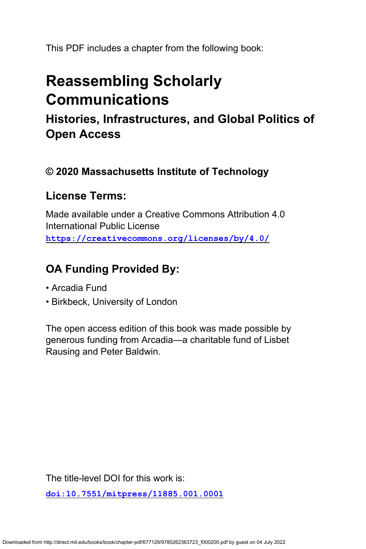This PDF includes a chapter from the following book:

# **Reassembling Scholarly Communications**

**Histories, Infrastructures, and Global Politics of Open Access**

### **© 2020 Massachusetts Institute of Technology**

### **License Terms:**

Made available under a Creative Commons Attribution 4.0 International Public License **<https://creativecommons.org/licenses/by/4.0/>**

## **OA Funding Provided By:**

- Arcadia Fund
- Birkbeck, University of London

The open access edition of this book was made possible by generous funding from Arcadia—a charitable fund of Lisbet Rausing and Peter Baldwin.

The title-level DOI for this work is:

**[doi:10.7551/mitpress/11885.001.0001](https://doi.org/10.7551/mitpress/11885.001.0001)**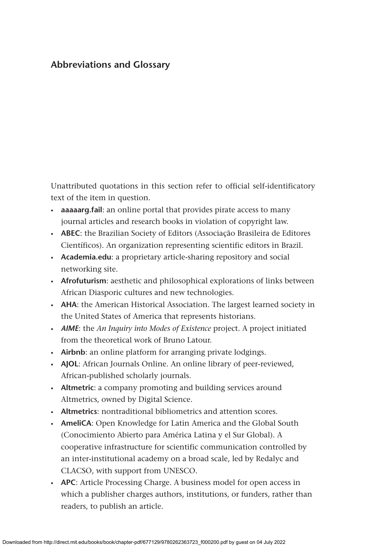#### **Abbreviations and Glossary**

Unattributed quotations in this section refer to official self-identificatory text of the item in question.

- **aaaaarg.fail**: an online portal that provides pirate access to many journal articles and research books in violation of copyright law.
- **ABEC**: the Brazilian Society of Editors (Associação Brasileira de Editores Científicos). An organization representing scientific editors in Brazil.
- **Academia.edu**: a proprietary article-sharing repository and social networking site.
- **Afrofuturism**: aesthetic and philosophical explorations of links between African Diasporic cultures and new technologies.
- **AHA**: the American Historical Association. The largest learned society in the United States of America that represents historians.
- *AIME*: the *An Inquiry into Modes of Existence* project. A project initiated from the theoretical work of Bruno Latour.
- **Airbnb**: an online platform for arranging private lodgings.
- **AJOL**: African Journals Online. An online library of peer-reviewed, African-published scholarly journals.
- **Altmetric**: a company promoting and building services around Altmetrics, owned by Digital Science.
- **Altmetrics**: nontraditional bibliometrics and attention scores.
- **AmeliCA**: Open Knowledge for Latin America and the Global South (Conocimiento Abierto para América Latina y el Sur Global). A cooperative infrastructure for scientific communication controlled by an inter-institutional academy on a broad scale, led by Redalyc and CLACSO, with support from UNESCO.
- **APC**: Article Processing Charge. A business model for open access in which a publisher charges authors, institutions, or funders, rather than readers, to publish an article.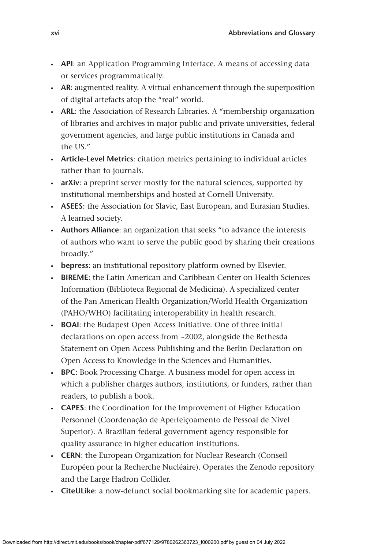- **API**: an Application Programming Interface. A means of accessing data or services programmatically.
- **AR**: augmented reality. A virtual enhancement through the superposition of digital artefacts atop the "real" world.
- **ARL**: the Association of Research Libraries. A "membership organization of libraries and archives in major public and private universities, federal government agencies, and large public institutions in Canada and the US."
- **Article-Level Metrics**: citation metrics pertaining to individual articles rather than to journals.
- **arXiv**: a preprint server mostly for the natural sciences, supported by institutional memberships and hosted at Cornell University.
- **ASEES**: the Association for Slavic, East European, and Eurasian Studies. A learned society.
- **Authors Alliance**: an organization that seeks "to advance the interests of authors who want to serve the public good by sharing their creations broadly."
- **bepress**: an institutional repository platform owned by Elsevier.
- **BIREME**: the Latin American and Caribbean Center on Health Sciences Information (Biblioteca Regional de Medicina). A specialized center of the Pan American Health Organization/World Health Organization (PAHO/WHO) facilitating interoperability in health research.
- **BOAI**: the Budapest Open Access Initiative. One of three initial declarations on open access from ~2002, alongside the Bethesda Statement on Open Access Publishing and the Berlin Declaration on Open Access to Knowledge in the Sciences and Humanities.
- **BPC**: Book Processing Charge. A business model for open access in which a publisher charges authors, institutions, or funders, rather than readers, to publish a book.
- **CAPES**: the Coordination for the Improvement of Higher Education Personnel (Coordenação de Aperfeiçoamento de Pessoal de Nível Superior). A Brazilian federal government agency responsible for quality assurance in higher education institutions.
- **CERN**: the European Organization for Nuclear Research (Conseil Européen pour la Recherche Nucléaire). Operates the Zenodo repository and the Large Hadron Collider.
- **CiteULike**: a now-defunct social bookmarking site for academic papers.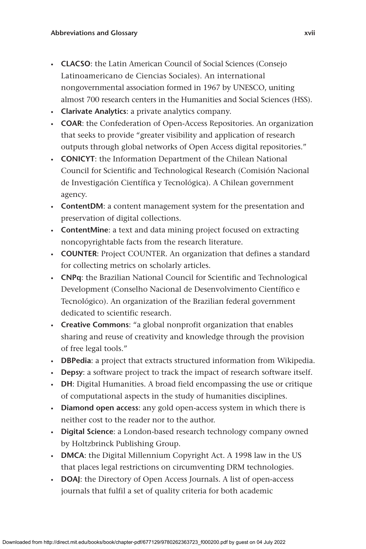- **CLACSO**: the Latin American Council of Social Sciences (Consejo Latinoamericano de Ciencias Sociales). An international nongovernmental association formed in 1967 by UNESCO, uniting almost 700 research centers in the Humanities and Social Sciences (HSS).
- **Clarivate Analytics**: a private analytics company.
- **COAR**: the Confederation of Open-Access Repositories. An organization that seeks to provide "greater visibility and application of research outputs through global networks of Open Access digital repositories."
- **CONICYT**: the Information Department of the Chilean National Council for Scientific and Technological Research (Comisión Nacional de Investigación Científica y Tecnológica). A Chilean government agency.
- **ContentDM**: a content management system for the presentation and preservation of digital collections.
- **ContentMine**: a text and data mining project focused on extracting noncopyrightable facts from the research literature.
- **COUNTER**: Project COUNTER. An organization that defines a standard for collecting metrics on scholarly articles.
- **CNPq**: the Brazilian National Council for Scientific and Technological Development (Conselho Nacional de Desenvolvimento Científico e Tecnológico). An organization of the Brazilian federal government dedicated to scientific research.
- **Creative Commons**: "a global nonprofit organization that enables sharing and reuse of creativity and knowledge through the provision of free legal tools."
- **DBPedia**: a project that extracts structured information from Wikipedia.
- **Depsy**: a software project to track the impact of research software itself.
- **DH**: Digital Humanities. A broad field encompassing the use or critique of computational aspects in the study of humanities disciplines.
- **Diamond open access**: any gold open-access system in which there is neither cost to the reader nor to the author.
- **Digital Science**: a London-based research technology company owned by Holtzbrinck Publishing Group.
- **DMCA**: the Digital Millennium Copyright Act. A 1998 law in the US that places legal restrictions on circumventing DRM technologies.
- **DOAJ**: the Directory of Open Access Journals. A list of open-access journals that fulfil a set of quality criteria for both academic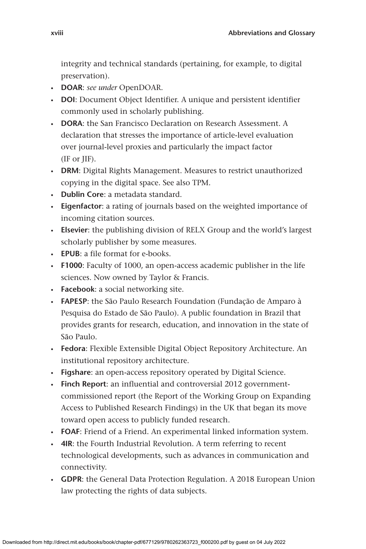integrity and technical standards (pertaining, for example, to digital preservation).

- **DOAR**: *see under* OpenDOAR.
- **DOI**: Document Object Identifier. A unique and persistent identifier commonly used in scholarly publishing.
- **DORA**: the San Francisco Declaration on Research Assessment. A declaration that stresses the importance of article-level evaluation over journal-level proxies and particularly the impact factor (IF or JIF).
- **DRM**: Digital Rights Management. Measures to restrict unauthorized copying in the digital space. See also TPM.
- **Dublin Core**: a metadata standard.
- **Eigenfactor**: a rating of journals based on the weighted importance of incoming citation sources.
- **Elsevier**: the publishing division of RELX Group and the world's largest scholarly publisher by some measures.
- **EPUB**: a file format for e-books.
- **F1000**: Faculty of 1000, an open-access academic publisher in the life sciences. Now owned by Taylor & Francis.
- **Facebook**: a social networking site.
- **FAPESP**: the São Paulo Research Foundation (Fundação de Amparo à Pesquisa do Estado de São Paulo). A public foundation in Brazil that provides grants for research, education, and innovation in the state of São Paulo.
- **Fedora**: Flexible Extensible Digital Object Repository Architecture. An institutional repository architecture.
- **Figshare**: an open-access repository operated by Digital Science.
- **Finch Report**: an influential and controversial 2012 governmentcommissioned report (the Report of the Working Group on Expanding Access to Published Research Findings) in the UK that began its move toward open access to publicly funded research.
- **FOAF**: Friend of a Friend. An experimental linked information system.
- **4IR**: the Fourth Industrial Revolution. A term referring to recent technological developments, such as advances in communication and connectivity.
- **GDPR**: the General Data Protection Regulation. A 2018 European Union law protecting the rights of data subjects.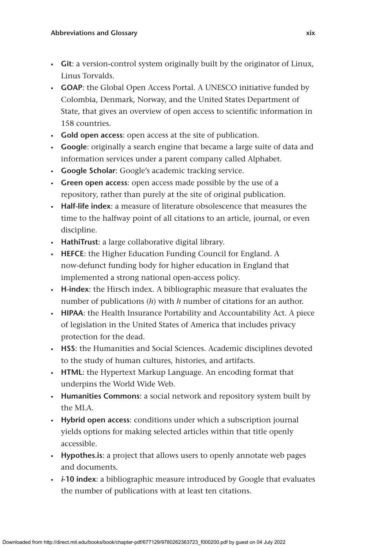- **Git**: a version-control system originally built by the originator of Linux, Linus Torvalds.
- **GOAP**: the Global Open Access Portal. A UNESCO initiative funded by Colombia, Denmark, Norway, and the United States Department of State, that gives an overview of open access to scientific information in 158 countries.
- **Gold open access**: open access at the site of publication.
- **Google**: originally a search engine that became a large suite of data and information services under a parent company called Alphabet.
- **Google Scholar**: Google's academic tracking service.
- **Green open access**: open access made possible by the use of a repository, rather than purely at the site of original publication.
- **Half-life index**: a measure of literature obsolescence that measures the time to the halfway point of all citations to an article, journal, or even discipline.
- **HathiTrust**: a large collaborative digital library.
- **HEFCE**: the Higher Education Funding Council for England. A now-defunct funding body for higher education in England that implemented a strong national open-access policy.
- **H-index**: the Hirsch index. A bibliographic measure that evaluates the number of publications (*h*) with *h* number of citations for an author.
- **HIPAA**: the Health Insurance Portability and Accountability Act. A piece of legislation in the United States of America that includes privacy protection for the dead.
- **HSS**: the Humanities and Social Sciences. Academic disciplines devoted to the study of human cultures, histories, and artifacts.
- **HTML**: the Hypertext Markup Language. An encoding format that underpins the World Wide Web.
- **Humanities Commons**: a social network and repository system built by the MLA.
- **Hybrid open access**: conditions under which a subscription journal yields options for making selected articles within that title openly accessible.
- **Hypothes.is**: a project that allows users to openly annotate web pages and documents.
- *i***-10 index**: a bibliographic measure introduced by Google that evaluates the number of publications with at least ten citations.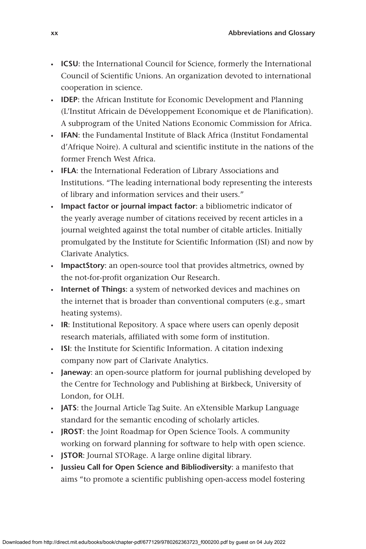- **ICSU**: the International Council for Science, formerly the International Council of Scientific Unions. An organization devoted to international cooperation in science.
- **IDEP**: the African Institute for Economic Development and Planning (L'Institut Africain de Développement Economique et de Planification). A subprogram of the United Nations Economic Commission for Africa.
- **IFAN**: the Fundamental Institute of Black Africa (Institut Fondamental d'Afrique Noire). A cultural and scientific institute in the nations of the former French West Africa.
- **IFLA**: the International Federation of Library Associations and Institutions. "The leading international body representing the interests of library and information services and their users."
- **Impact factor or journal impact factor**: a bibliometric indicator of the yearly average number of citations received by recent articles in a journal weighted against the total number of citable articles. Initially promulgated by the Institute for Scientific Information (ISI) and now by Clarivate Analytics.
- **ImpactStory**: an open-source tool that provides altmetrics, owned by the not-for-profit organization Our Research.
- **Internet of Things**: a system of networked devices and machines on the internet that is broader than conventional computers (e.g., smart heating systems).
- **IR**: Institutional Repository. A space where users can openly deposit research materials, affiliated with some form of institution.
- **ISI**: the Institute for Scientific Information. A citation indexing company now part of Clarivate Analytics.
- **Janeway**: an open-source platform for journal publishing developed by the Centre for Technology and Publishing at Birkbeck, University of London, for OLH.
- **JATS**: the Journal Article Tag Suite. An eXtensible Markup Language standard for the semantic encoding of scholarly articles.
- **JROST**: the Joint Roadmap for Open Science Tools. A community working on forward planning for software to help with open science.
- **JSTOR**: Journal STORage. A large online digital library.
- **Jussieu Call for Open Science and Bibliodiversity**: a manifesto that aims "to promote a scientific publishing open-access model fostering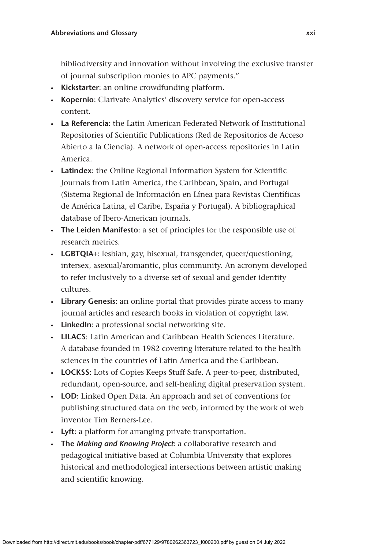bibliodiversity and innovation without involving the exclusive transfer of journal subscription monies to APC payments."

- **Kickstarter**: an online crowdfunding platform.
- **Kopernio**: Clarivate Analytics' discovery service for open-access content.
- **La Referencia**: the Latin American Federated Network of Institutional Repositories of Scientific Publications (Red de Repositorios de Acceso Abierto a la Ciencia). A network of open-access repositories in Latin America.
- **Latindex**: the Online Regional Information System for Scientific Journals from Latin America, the Caribbean, Spain, and Portugal (Sistema Regional de Información en Línea para Revistas Científicas de América Latina, el Caribe, España y Portugal). A bibliographical database of Ibero-American journals.
- **The Leiden Manifesto**: a set of principles for the responsible use of research metrics.
- **LGBTQIA**+: lesbian, gay, bisexual, transgender, queer/questioning, intersex, asexual/aromantic, plus community. An acronym developed to refer inclusively to a diverse set of sexual and gender identity cultures.
- **Library Genesis**: an online portal that provides pirate access to many journal articles and research books in violation of copyright law.
- **LinkedIn**: a professional social networking site.
- **LILACS**: Latin American and Caribbean Health Sciences Literature. A database founded in 1982 covering literature related to the health sciences in the countries of Latin America and the Caribbean.
- **LOCKSS**: Lots of Copies Keeps Stuff Safe. A peer-to-peer, distributed, redundant, open-source, and self-healing digital preservation system.
- **LOD**: Linked Open Data. An approach and set of conventions for publishing structured data on the web, informed by the work of web inventor Tim Berners-Lee.
- **Lyft**: a platform for arranging private transportation.
- **The** *Making and Knowing Project*: a collaborative research and pedagogical initiative based at Columbia University that explores historical and methodological intersections between artistic making and scientific knowing.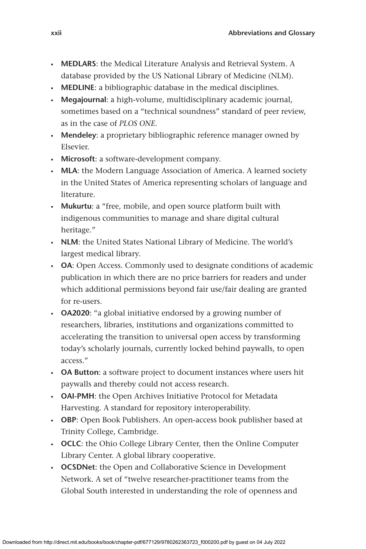- **MEDLARS**: the Medical Literature Analysis and Retrieval System. A database provided by the US National Library of Medicine (NLM).
- **MEDLINE**: a bibliographic database in the medical disciplines.
- **Megajournal**: a high-volume, multidisciplinary academic journal, sometimes based on a "technical soundness" standard of peer review, as in the case of *PLOS ONE*.
- **Mendeley**: a proprietary bibliographic reference manager owned by Elsevier.
- **Microsoft**: a software-development company.
- **MLA**: the Modern Language Association of America. A learned society in the United States of America representing scholars of language and literature.
- **Mukurtu**: a "free, mobile, and open source platform built with indigenous communities to manage and share digital cultural heritage."
- **NLM**: the United States National Library of Medicine. The world's largest medical library.
- **OA**: Open Access. Commonly used to designate conditions of academic publication in which there are no price barriers for readers and under which additional permissions beyond fair use/fair dealing are granted for re-users.
- **OA2020**: "a global initiative endorsed by a growing number of researchers, libraries, institutions and organizations committed to accelerating the transition to universal open access by transforming today's scholarly journals, currently locked behind paywalls, to open access."
- **OA Button**: a software project to document instances where users hit paywalls and thereby could not access research.
- **OAI-PMH**: the Open Archives Initiative Protocol for Metadata Harvesting. A standard for repository interoperability.
- **OBP**: Open Book Publishers. An open-access book publisher based at Trinity College, Cambridge.
- **OCLC**: the Ohio College Library Center, then the Online Computer Library Center. A global library cooperative.
- **OCSDNet**: the Open and Collaborative Science in Development Network. A set of "twelve researcher-practitioner teams from the Global South interested in understanding the role of openness and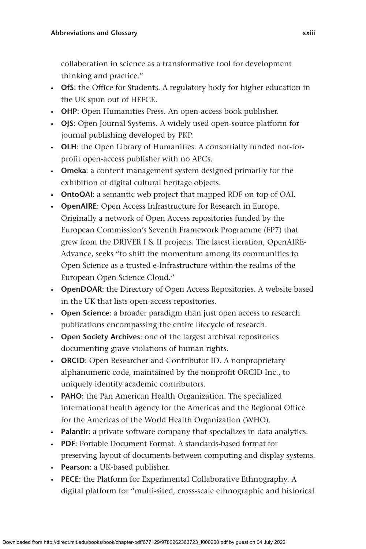collaboration in science as a transformative tool for development thinking and practice."

- **OfS**: the Office for Students. A regulatory body for higher education in the UK spun out of HEFCE.
- **OHP**: Open Humanities Press. An open-access book publisher.
- **OJS**: Open Journal Systems. A widely used open-source platform for journal publishing developed by PKP.
- **OLH**: the Open Library of Humanities. A consortially funded not-forprofit open-access publisher with no APCs.
- **Omeka**: a content management system designed primarily for the exhibition of digital cultural heritage objects.
- **OntoOAI**: a semantic web project that mapped RDF on top of OAI.
- **OpenAIRE**: Open Access Infrastructure for Research in Europe. Originally a network of Open Access repositories funded by the European Commission's Seventh Framework Programme (FP7) that grew from the DRIVER I & II projects. The latest iteration, OpenAIRE-Advance, seeks "to shift the momentum among its communities to Open Science as a trusted e-Infrastructure within the realms of the European Open Science Cloud."
- **OpenDOAR**: the Directory of Open Access Repositories. A website based in the UK that lists open-access repositories.
- **Open Science**: a broader paradigm than just open access to research publications encompassing the entire lifecycle of research.
- **Open Society Archives**: one of the largest archival repositories documenting grave violations of human rights.
- **ORCID**: Open Researcher and Contributor ID. A nonproprietary alphanumeric code, maintained by the nonprofit ORCID Inc., to uniquely identify academic contributors.
- **PAHO**: the Pan American Health Organization. The specialized international health agency for the Americas and the Regional Office for the Americas of the World Health Organization (WHO).
- **Palantir**: a private software company that specializes in data analytics.
- **PDF**: Portable Document Format. A standards-based format for preserving layout of documents between computing and display systems.
- **Pearson**: a UK-based publisher.
- **PECE**: the Platform for Experimental Collaborative Ethnography. A digital platform for "multi-sited, cross-scale ethnographic and historical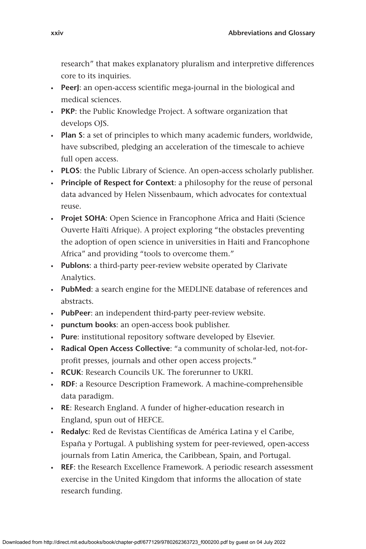research" that makes explanatory pluralism and interpretive differences core to its inquiries.

- **PeerJ**: an open-access scientific mega-journal in the biological and medical sciences.
- **PKP**: the Public Knowledge Project. A software organization that develops OJS.
- **Plan S**: a set of principles to which many academic funders, worldwide, have subscribed, pledging an acceleration of the timescale to achieve full open access.
- **PLOS**: the Public Library of Science. An open-access scholarly publisher.
- **Principle of Respect for Context**: a philosophy for the reuse of personal data advanced by Helen Nissenbaum, which advocates for contextual reuse.
- **Projet SOHA**: Open Science in Francophone Africa and Haiti (Science Ouverte Haïti Afrique). A project exploring "the obstacles preventing the adoption of open science in universities in Haiti and Francophone Africa" and providing "tools to overcome them."
- **Publons**: a third-party peer-review website operated by Clarivate Analytics.
- **PubMed**: a search engine for the MEDLINE database of references and abstracts.
- **PubPeer**: an independent third-party peer-review website.
- **punctum books**: an open-access book publisher.
- **Pure**: institutional repository software developed by Elsevier.
- **Radical Open Access Collective**: "a community of scholar-led, not-forprofit presses, journals and other open access projects."
- **RCUK**: Research Councils UK. The forerunner to UKRI.
- **RDF**: a Resource Description Framework. A machine-comprehensible data paradigm.
- **RE**: Research England. A funder of higher-education research in England, spun out of HEFCE.
- **Redalyc**: Red de Revistas Científicas de América Latina y el Caribe, España y Portugal. A publishing system for peer-reviewed, open-access journals from Latin America, the Caribbean, Spain, and Portugal.
- **REF**: the Research Excellence Framework. A periodic research assessment exercise in the United Kingdom that informs the allocation of state research funding.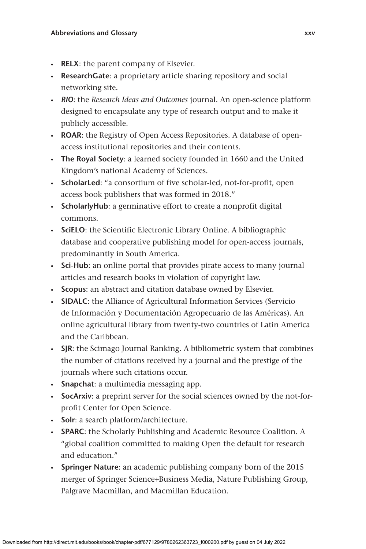- **RELX**: the parent company of Elsevier.
- **ResearchGate**: a proprietary article sharing repository and social networking site.
- *RIO*: the *Research Ideas and Outcomes* journal. An open-science platform designed to encapsulate any type of research output and to make it publicly accessible.
- **ROAR**: the Registry of Open Access Repositories. A database of openaccess institutional repositories and their contents.
- **The Royal Society**: a learned society founded in 1660 and the United Kingdom's national Academy of Sciences.
- **ScholarLed**: "a consortium of five scholar-led, not-for-profit, open access book publishers that was formed in 2018."
- **ScholarlyHub**: a germinative effort to create a nonprofit digital commons.
- **SciELO**: the Scientific Electronic Library Online. A bibliographic database and cooperative publishing model for open-access journals, predominantly in South America.
- **Sci-Hub**: an online portal that provides pirate access to many journal articles and research books in violation of copyright law.
- **Scopus**: an abstract and citation database owned by Elsevier.
- **SIDALC**: the Alliance of Agricultural Information Services (Servicio de Información y Documentación Agropecuario de las Américas). An online agricultural library from twenty-two countries of Latin America and the Caribbean.
- **SJR**: the Scimago Journal Ranking. A bibliometric system that combines the number of citations received by a journal and the prestige of the journals where such citations occur.
- **Snapchat**: a multimedia messaging app.
- **SocArxiv**: a preprint server for the social sciences owned by the not-forprofit Center for Open Science.
- **Solr**: a search platform/architecture.
- **SPARC**: the Scholarly Publishing and Academic Resource Coalition. A "global coalition committed to making Open the default for research and education."
- **Springer Nature**: an academic publishing company born of the 2015 merger of Springer Science+Business Media, Nature Publishing Group, Palgrave Macmillan, and Macmillan Education.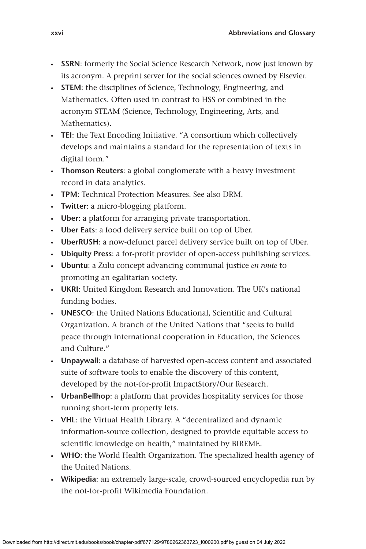- **SSRN**: formerly the Social Science Research Network, now just known by its acronym. A preprint server for the social sciences owned by Elsevier.
- **STEM**: the disciplines of Science, Technology, Engineering, and Mathematics. Often used in contrast to HSS or combined in the acronym STEAM (Science, Technology, Engineering, Arts, and Mathematics).
- **TEI**: the Text Encoding Initiative. "A consortium which collectively develops and maintains a standard for the representation of texts in digital form."
- **Thomson Reuters**: a global conglomerate with a heavy investment record in data analytics.
- **TPM**: Technical Protection Measures. See also DRM.
- **Twitter**: a micro-blogging platform.
- **Uber**: a platform for arranging private transportation.
- **Uber Eats**: a food delivery service built on top of Uber.
- **UberRUSH**: a now-defunct parcel delivery service built on top of Uber.
- **Ubiquity Press**: a for-profit provider of open-access publishing services.
- **Ubuntu**: a Zulu concept advancing communal justice *en route* to promoting an egalitarian society.
- **UKRI**: United Kingdom Research and Innovation. The UK's national funding bodies.
- **UNESCO**: the United Nations Educational, Scientific and Cultural Organization. A branch of the United Nations that "seeks to build peace through international cooperation in Education, the Sciences and Culture."
- **Unpaywall**: a database of harvested open-access content and associated suite of software tools to enable the discovery of this content, developed by the not-for-profit ImpactStory/Our Research.
- **UrbanBellhop**: a platform that provides hospitality services for those running short-term property lets.
- **VHL**: the Virtual Health Library. A "decentralized and dynamic information-source collection, designed to provide equitable access to scientific knowledge on health," maintained by BIREME.
- **WHO**: the World Health Organization. The specialized health agency of the United Nations.
- **Wikipedia**: an extremely large-scale, crowd-sourced encyclopedia run by the not-for-profit Wikimedia Foundation.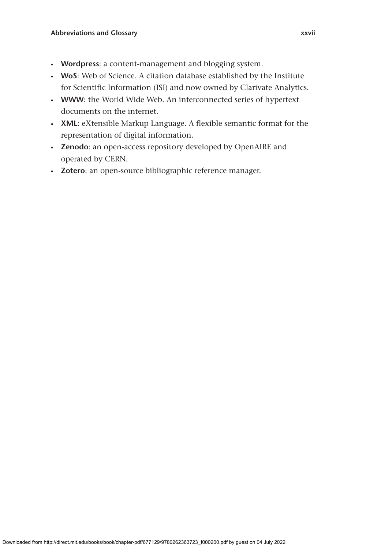- **Wordpress**: a content-management and blogging system.
- **WoS**: Web of Science. A citation database established by the Institute for Scientific Information (ISI) and now owned by Clarivate Analytics.
- **WWW**: the World Wide Web. An interconnected series of hypertext documents on the internet.
- **XML**: eXtensible Markup Language. A flexible semantic format for the representation of digital information.
- **Zenodo**: an open-access repository developed by OpenAIRE and operated by CERN.
- **Zotero**: an open-source bibliographic reference manager.